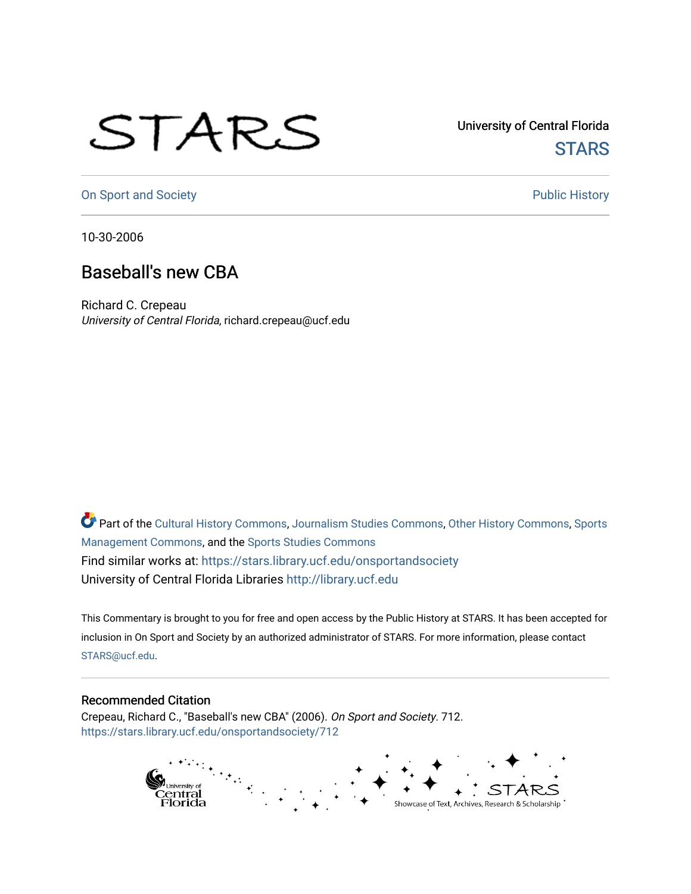## STARS

University of Central Florida **STARS** 

[On Sport and Society](https://stars.library.ucf.edu/onsportandsociety) **Public History** Public History

10-30-2006

## Baseball's new CBA

Richard C. Crepeau University of Central Florida, richard.crepeau@ucf.edu

Part of the [Cultural History Commons](http://network.bepress.com/hgg/discipline/496?utm_source=stars.library.ucf.edu%2Fonsportandsociety%2F712&utm_medium=PDF&utm_campaign=PDFCoverPages), [Journalism Studies Commons,](http://network.bepress.com/hgg/discipline/333?utm_source=stars.library.ucf.edu%2Fonsportandsociety%2F712&utm_medium=PDF&utm_campaign=PDFCoverPages) [Other History Commons,](http://network.bepress.com/hgg/discipline/508?utm_source=stars.library.ucf.edu%2Fonsportandsociety%2F712&utm_medium=PDF&utm_campaign=PDFCoverPages) [Sports](http://network.bepress.com/hgg/discipline/1193?utm_source=stars.library.ucf.edu%2Fonsportandsociety%2F712&utm_medium=PDF&utm_campaign=PDFCoverPages) [Management Commons](http://network.bepress.com/hgg/discipline/1193?utm_source=stars.library.ucf.edu%2Fonsportandsociety%2F712&utm_medium=PDF&utm_campaign=PDFCoverPages), and the [Sports Studies Commons](http://network.bepress.com/hgg/discipline/1198?utm_source=stars.library.ucf.edu%2Fonsportandsociety%2F712&utm_medium=PDF&utm_campaign=PDFCoverPages) Find similar works at: <https://stars.library.ucf.edu/onsportandsociety> University of Central Florida Libraries [http://library.ucf.edu](http://library.ucf.edu/) 

This Commentary is brought to you for free and open access by the Public History at STARS. It has been accepted for inclusion in On Sport and Society by an authorized administrator of STARS. For more information, please contact [STARS@ucf.edu](mailto:STARS@ucf.edu).

## Recommended Citation

Crepeau, Richard C., "Baseball's new CBA" (2006). On Sport and Society. 712. [https://stars.library.ucf.edu/onsportandsociety/712](https://stars.library.ucf.edu/onsportandsociety/712?utm_source=stars.library.ucf.edu%2Fonsportandsociety%2F712&utm_medium=PDF&utm_campaign=PDFCoverPages)

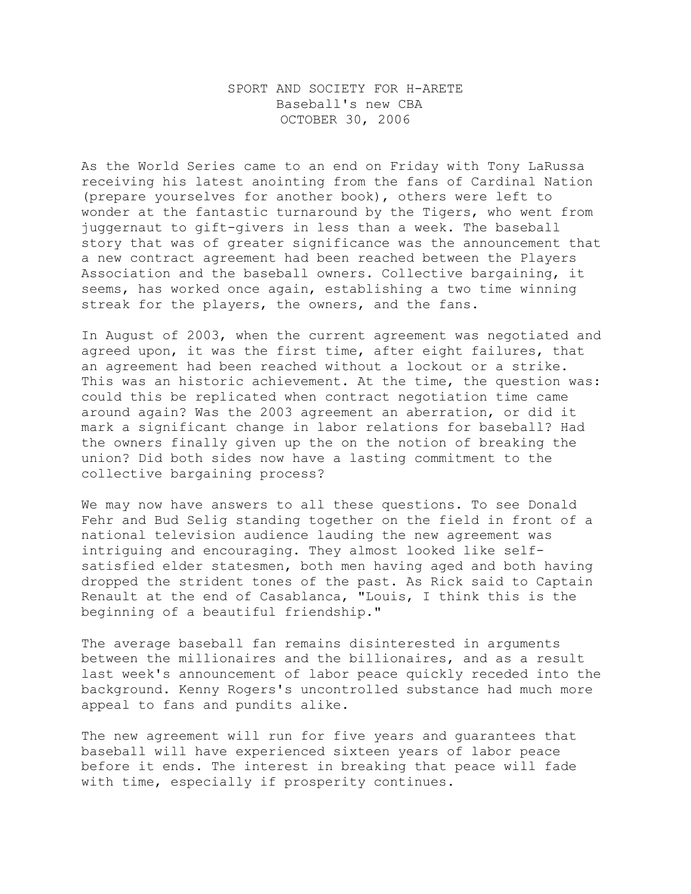## SPORT AND SOCIETY FOR H-ARETE Baseball's new CBA OCTOBER 30, 2006

As the World Series came to an end on Friday with Tony LaRussa receiving his latest anointing from the fans of Cardinal Nation (prepare yourselves for another book), others were left to wonder at the fantastic turnaround by the Tigers, who went from juggernaut to gift-givers in less than a week. The baseball story that was of greater significance was the announcement that a new contract agreement had been reached between the Players Association and the baseball owners. Collective bargaining, it seems, has worked once again, establishing a two time winning streak for the players, the owners, and the fans.

In August of 2003, when the current agreement was negotiated and agreed upon, it was the first time, after eight failures, that an agreement had been reached without a lockout or a strike. This was an historic achievement. At the time, the question was: could this be replicated when contract negotiation time came around again? Was the 2003 agreement an aberration, or did it mark a significant change in labor relations for baseball? Had the owners finally given up the on the notion of breaking the union? Did both sides now have a lasting commitment to the collective bargaining process?

We may now have answers to all these questions. To see Donald Fehr and Bud Selig standing together on the field in front of a national television audience lauding the new agreement was intriguing and encouraging. They almost looked like selfsatisfied elder statesmen, both men having aged and both having dropped the strident tones of the past. As Rick said to Captain Renault at the end of Casablanca, "Louis, I think this is the beginning of a beautiful friendship."

The average baseball fan remains disinterested in arguments between the millionaires and the billionaires, and as a result last week's announcement of labor peace quickly receded into the background. Kenny Rogers's uncontrolled substance had much more appeal to fans and pundits alike.

The new agreement will run for five years and guarantees that baseball will have experienced sixteen years of labor peace before it ends. The interest in breaking that peace will fade with time, especially if prosperity continues.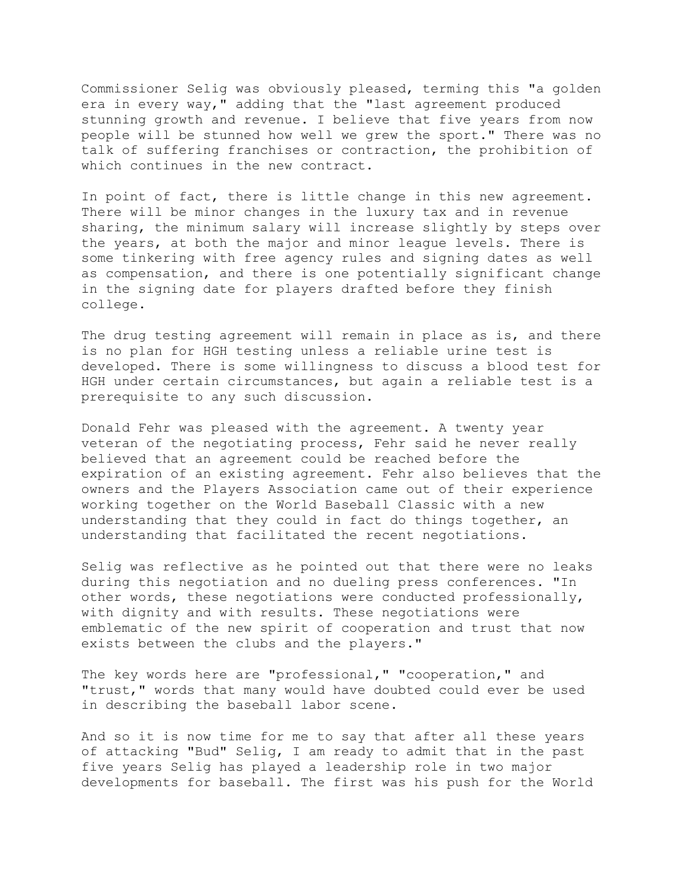Commissioner Selig was obviously pleased, terming this "a golden era in every way," adding that the "last agreement produced stunning growth and revenue. I believe that five years from now people will be stunned how well we grew the sport." There was no talk of suffering franchises or contraction, the prohibition of which continues in the new contract.

In point of fact, there is little change in this new agreement. There will be minor changes in the luxury tax and in revenue sharing, the minimum salary will increase slightly by steps over the years, at both the major and minor league levels. There is some tinkering with free agency rules and signing dates as well as compensation, and there is one potentially significant change in the signing date for players drafted before they finish college.

The drug testing agreement will remain in place as is, and there is no plan for HGH testing unless a reliable urine test is developed. There is some willingness to discuss a blood test for HGH under certain circumstances, but again a reliable test is a prerequisite to any such discussion.

Donald Fehr was pleased with the agreement. A twenty year veteran of the negotiating process, Fehr said he never really believed that an agreement could be reached before the expiration of an existing agreement. Fehr also believes that the owners and the Players Association came out of their experience working together on the World Baseball Classic with a new understanding that they could in fact do things together, an understanding that facilitated the recent negotiations.

Selig was reflective as he pointed out that there were no leaks during this negotiation and no dueling press conferences. "In other words, these negotiations were conducted professionally, with dignity and with results. These negotiations were emblematic of the new spirit of cooperation and trust that now exists between the clubs and the players."

The key words here are "professional," "cooperation," and "trust," words that many would have doubted could ever be used in describing the baseball labor scene.

And so it is now time for me to say that after all these years of attacking "Bud" Selig, I am ready to admit that in the past five years Selig has played a leadership role in two major developments for baseball. The first was his push for the World